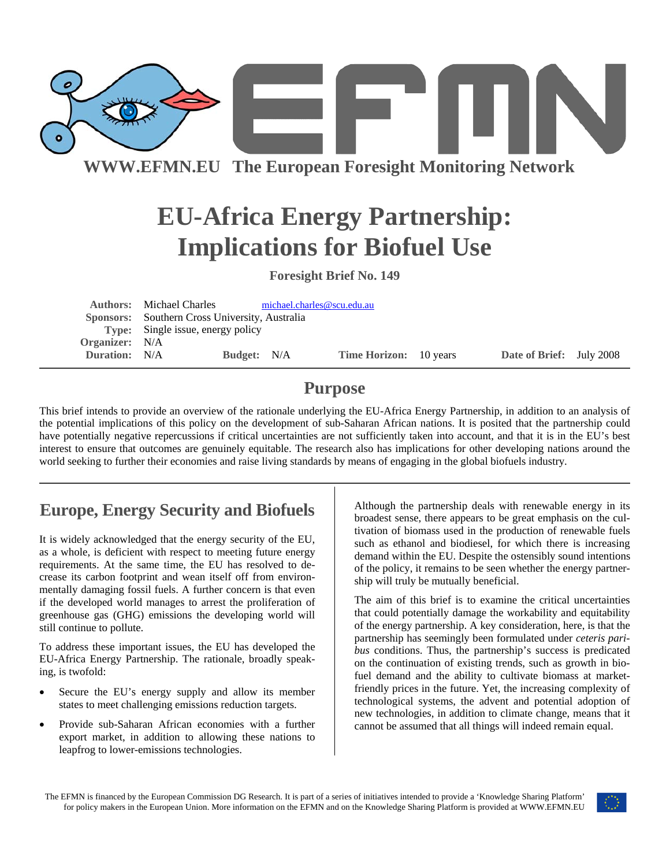

**WWW.EFMN.EU The European Foresight Monitoring Network**

# **EU-Africa Energy Partnership: Implications for Biofuel Use**

**Foresight Brief No. 149** 

|                      | <b>Authors:</b> Michael Charles                | michael.charles@scu.edu.au |                               |  |                          |  |
|----------------------|------------------------------------------------|----------------------------|-------------------------------|--|--------------------------|--|
|                      | Sponsors: Southern Cross University, Australia |                            |                               |  |                          |  |
|                      | <b>Type:</b> Single issue, energy policy       |                            |                               |  |                          |  |
| Organizer: N/A       |                                                |                            |                               |  |                          |  |
| <b>Duration:</b> N/A |                                                | <b>Budget:</b> N/A         | <b>Time Horizon:</b> 10 years |  | Date of Brief: July 2008 |  |
|                      |                                                |                            |                               |  |                          |  |

### **Purpose**

This brief intends to provide an overview of the rationale underlying the EU-Africa Energy Partnership, in addition to an analysis of the potential implications of this policy on the development of sub-Saharan African nations. It is posited that the partnership could have potentially negative repercussions if critical uncertainties are not sufficiently taken into account, and that it is in the EU's best interest to ensure that outcomes are genuinely equitable. The research also has implications for other developing nations around the world seeking to further their economies and raise living standards by means of engaging in the global biofuels industry.

## **Europe, Energy Security and Biofuels**

It is widely acknowledged that the energy security of the EU, as a whole, is deficient with respect to meeting future energy requirements. At the same time, the EU has resolved to decrease its carbon footprint and wean itself off from environmentally damaging fossil fuels. A further concern is that even if the developed world manages to arrest the proliferation of greenhouse gas (GHG) emissions the developing world will still continue to pollute.

To address these important issues, the EU has developed the EU-Africa Energy Partnership. The rationale, broadly speaking, is twofold:

- Secure the EU's energy supply and allow its member states to meet challenging emissions reduction targets.
- Provide sub-Saharan African economies with a further export market, in addition to allowing these nations to leapfrog to lower-emissions technologies.

Although the partnership deals with renewable energy in its broadest sense, there appears to be great emphasis on the cultivation of biomass used in the production of renewable fuels such as ethanol and biodiesel, for which there is increasing demand within the EU. Despite the ostensibly sound intentions of the policy, it remains to be seen whether the energy partnership will truly be mutually beneficial.

The aim of this brief is to examine the critical uncertainties that could potentially damage the workability and equitability of the energy partnership. A key consideration, here, is that the partnership has seemingly been formulated under *ceteris paribus* conditions. Thus, the partnership's success is predicated on the continuation of existing trends, such as growth in biofuel demand and the ability to cultivate biomass at marketfriendly prices in the future. Yet, the increasing complexity of technological systems, the advent and potential adoption of new technologies, in addition to climate change, means that it cannot be assumed that all things will indeed remain equal.

The EFMN is financed by the European Commission DG Research. It is part of a series of initiatives intended to provide a 'Knowledge Sharing Platform' for policy makers in the European Union. More information on the EFMN and on the Knowledge Sharing Platform is provided at WWW.EFMN.EU

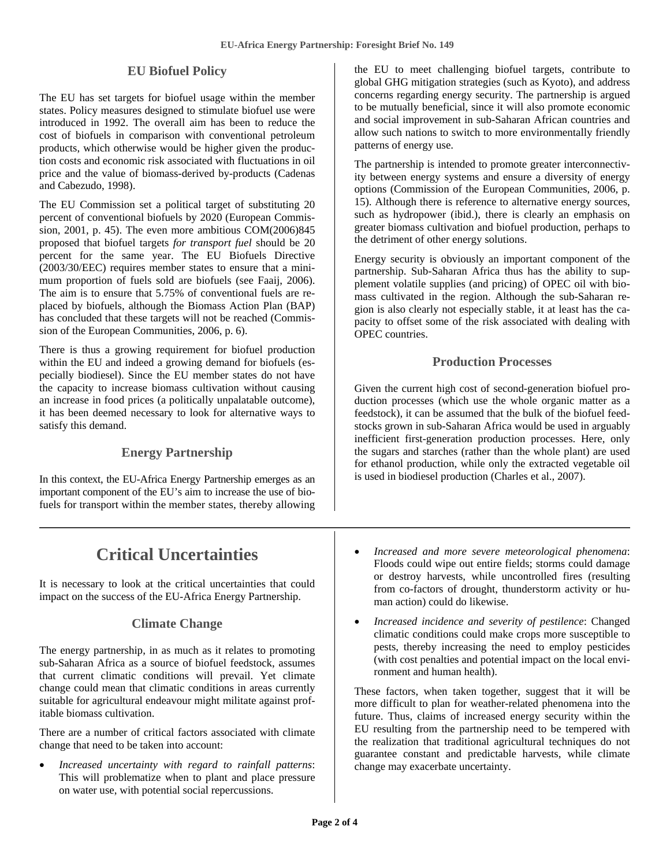#### **EU Biofuel Policy**

The EU has set targets for biofuel usage within the member states. Policy measures designed to stimulate biofuel use were introduced in 1992. The overall aim has been to reduce the cost of biofuels in comparison with conventional petroleum products, which otherwise would be higher given the production costs and economic risk associated with fluctuations in oil price and the value of biomass-derived by-products (Cadenas and Cabezudo, 1998).

The EU Commission set a political target of substituting 20 percent of conventional biofuels by 2020 (European Commission, 2001, p. 45). The even more ambitious COM(2006)845 proposed that biofuel targets *for transport fuel* should be 20 percent for the same year. The EU Biofuels Directive (2003/30/EEC) requires member states to ensure that a minimum proportion of fuels sold are biofuels (see Faaij, 2006). The aim is to ensure that 5.75% of conventional fuels are replaced by biofuels, although the Biomass Action Plan (BAP) has concluded that these targets will not be reached (Commission of the European Communities, 2006, p. 6).

There is thus a growing requirement for biofuel production within the EU and indeed a growing demand for biofuels (especially biodiesel). Since the EU member states do not have the capacity to increase biomass cultivation without causing an increase in food prices (a politically unpalatable outcome), it has been deemed necessary to look for alternative ways to satisfy this demand.

#### **Energy Partnership**

In this context, the EU-Africa Energy Partnership emerges as an important component of the EU's aim to increase the use of biofuels for transport within the member states, thereby allowing

### **Critical Uncertainties**

It is necessary to look at the critical uncertainties that could impact on the success of the EU-Africa Energy Partnership.

#### **Climate Change**

The energy partnership, in as much as it relates to promoting sub-Saharan Africa as a source of biofuel feedstock, assumes that current climatic conditions will prevail. Yet climate change could mean that climatic conditions in areas currently suitable for agricultural endeavour might militate against profitable biomass cultivation.

There are a number of critical factors associated with climate change that need to be taken into account:

• *Increased uncertainty with regard to rainfall patterns*: This will problematize when to plant and place pressure on water use, with potential social repercussions.

the EU to meet challenging biofuel targets, contribute to global GHG mitigation strategies (such as Kyoto), and address concerns regarding energy security. The partnership is argued to be mutually beneficial, since it will also promote economic and social improvement in sub-Saharan African countries and allow such nations to switch to more environmentally friendly patterns of energy use.

The partnership is intended to promote greater interconnectivity between energy systems and ensure a diversity of energy options (Commission of the European Communities, 2006, p. 15). Although there is reference to alternative energy sources, such as hydropower (ibid.), there is clearly an emphasis on greater biomass cultivation and biofuel production, perhaps to the detriment of other energy solutions.

Energy security is obviously an important component of the partnership. Sub-Saharan Africa thus has the ability to supplement volatile supplies (and pricing) of OPEC oil with biomass cultivated in the region. Although the sub-Saharan region is also clearly not especially stable, it at least has the capacity to offset some of the risk associated with dealing with OPEC countries.

#### **Production Processes**

Given the current high cost of second-generation biofuel production processes (which use the whole organic matter as a feedstock), it can be assumed that the bulk of the biofuel feedstocks grown in sub-Saharan Africa would be used in arguably inefficient first-generation production processes. Here, only the sugars and starches (rather than the whole plant) are used for ethanol production, while only the extracted vegetable oil is used in biodiesel production (Charles et al., 2007).

- *Increased and more severe meteorological phenomena*: Floods could wipe out entire fields; storms could damage or destroy harvests, while uncontrolled fires (resulting from co-factors of drought, thunderstorm activity or human action) could do likewise.
- *Increased incidence and severity of pestilence*: Changed climatic conditions could make crops more susceptible to pests, thereby increasing the need to employ pesticides (with cost penalties and potential impact on the local environment and human health).

These factors, when taken together, suggest that it will be more difficult to plan for weather-related phenomena into the future. Thus, claims of increased energy security within the EU resulting from the partnership need to be tempered with the realization that traditional agricultural techniques do not guarantee constant and predictable harvests, while climate change may exacerbate uncertainty.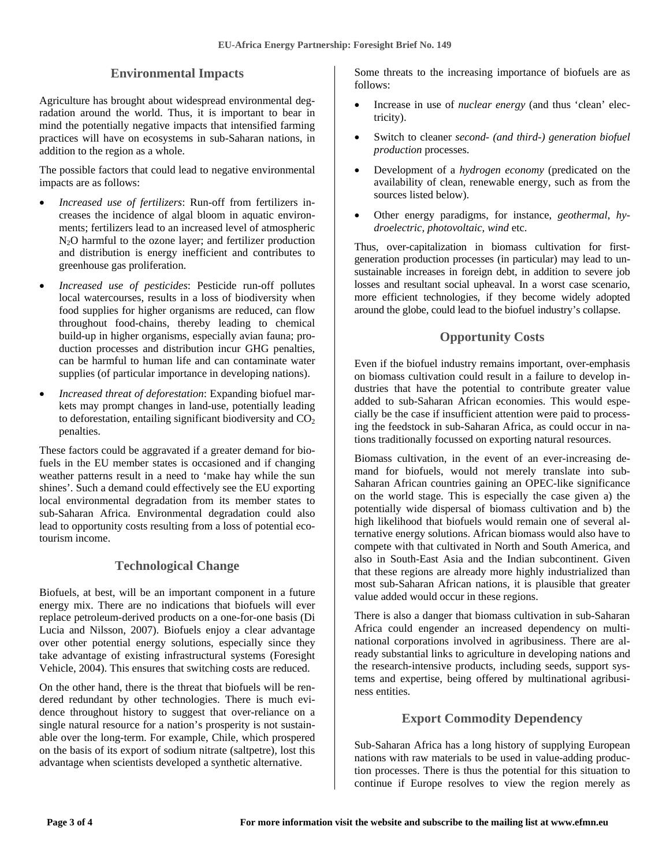#### **Environmental Impacts**

Agriculture has brought about widespread environmental degradation around the world. Thus, it is important to bear in mind the potentially negative impacts that intensified farming practices will have on ecosystems in sub-Saharan nations, in addition to the region as a whole.

The possible factors that could lead to negative environmental impacts are as follows:

- *Increased use of fertilizers*: Run-off from fertilizers increases the incidence of algal bloom in aquatic environments; fertilizers lead to an increased level of atmospheric N2O harmful to the ozone layer; and fertilizer production and distribution is energy inefficient and contributes to greenhouse gas proliferation.
- *Increased use of pesticides*: Pesticide run-off pollutes local watercourses, results in a loss of biodiversity when food supplies for higher organisms are reduced, can flow throughout food-chains, thereby leading to chemical build-up in higher organisms, especially avian fauna; production processes and distribution incur GHG penalties, can be harmful to human life and can contaminate water supplies (of particular importance in developing nations).
- *Increased threat of deforestation*: Expanding biofuel markets may prompt changes in land-use, potentially leading to deforestation, entailing significant biodiversity and  $CO<sub>2</sub>$ penalties.

These factors could be aggravated if a greater demand for biofuels in the EU member states is occasioned and if changing weather patterns result in a need to 'make hay while the sun shines'. Such a demand could effectively see the EU exporting local environmental degradation from its member states to sub-Saharan Africa. Environmental degradation could also lead to opportunity costs resulting from a loss of potential ecotourism income.

#### **Technological Change**

Biofuels, at best, will be an important component in a future energy mix. There are no indications that biofuels will ever replace petroleum-derived products on a one-for-one basis (Di Lucia and Nilsson, 2007). Biofuels enjoy a clear advantage over other potential energy solutions, especially since they take advantage of existing infrastructural systems (Foresight Vehicle, 2004). This ensures that switching costs are reduced.

On the other hand, there is the threat that biofuels will be rendered redundant by other technologies. There is much evidence throughout history to suggest that over-reliance on a single natural resource for a nation's prosperity is not sustainable over the long-term. For example, Chile, which prospered on the basis of its export of sodium nitrate (saltpetre), lost this advantage when scientists developed a synthetic alternative.

Some threats to the increasing importance of biofuels are as follows:

- Increase in use of *nuclear energy* (and thus 'clean' electricity).
- Switch to cleaner *second- (and third-) generation biofuel production* processes.
- Development of a *hydrogen economy* (predicated on the availability of clean, renewable energy, such as from the sources listed below).
- Other energy paradigms, for instance, *geothermal*, *hydroelectric*, *photovoltaic*, *wind* etc.

Thus, over-capitalization in biomass cultivation for firstgeneration production processes (in particular) may lead to unsustainable increases in foreign debt, in addition to severe job losses and resultant social upheaval. In a worst case scenario, more efficient technologies, if they become widely adopted around the globe, could lead to the biofuel industry's collapse.

### **Opportunity Costs**

Even if the biofuel industry remains important, over-emphasis on biomass cultivation could result in a failure to develop industries that have the potential to contribute greater value added to sub-Saharan African economies. This would especially be the case if insufficient attention were paid to processing the feedstock in sub-Saharan Africa, as could occur in nations traditionally focussed on exporting natural resources.

Biomass cultivation, in the event of an ever-increasing demand for biofuels, would not merely translate into sub-Saharan African countries gaining an OPEC-like significance on the world stage. This is especially the case given a) the potentially wide dispersal of biomass cultivation and b) the high likelihood that biofuels would remain one of several alternative energy solutions. African biomass would also have to compete with that cultivated in North and South America, and also in South-East Asia and the Indian subcontinent. Given that these regions are already more highly industrialized than most sub-Saharan African nations, it is plausible that greater value added would occur in these regions.

There is also a danger that biomass cultivation in sub-Saharan Africa could engender an increased dependency on multinational corporations involved in agribusiness. There are already substantial links to agriculture in developing nations and the research-intensive products, including seeds, support systems and expertise, being offered by multinational agribusiness entities.

#### **Export Commodity Dependency**

Sub-Saharan Africa has a long history of supplying European nations with raw materials to be used in value-adding production processes. There is thus the potential for this situation to continue if Europe resolves to view the region merely as